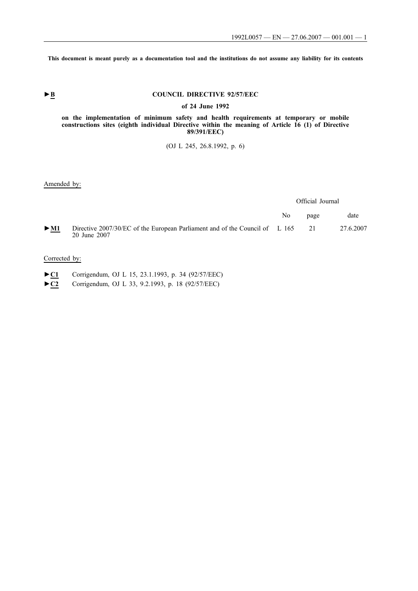**This document is meant purely as a documentation tool and the institutions do not assume any liability for its contents**

# **►B COUNCIL DIRECTIVE 92/57/EEC**

**of 24 June 1992**

### **on the implementation of minimum safety and health requirements at temporary or mobile constructions sites (eighth individual Directive within the meaning of Article 16 (1) of Directive 89/391/EEC)**

(OJ L 245, 26.8.1992, p. 6)

### Amended by:

|        |                                                                                                | Official Journal |      |           |
|--------|------------------------------------------------------------------------------------------------|------------------|------|-----------|
|        |                                                                                                | No.              | page | date      |
| $>$ M1 | Directive 2007/30/EC of the European Parliament and of the Council of L 165 21<br>20 June 2007 |                  |      | 27.6.2007 |

## Corrected by:

- ►**C1** Corrigendum, OJ L 15, 23.1.1993, p. 34 (92/57/EEC)
- ►**C2** Corrigendum, OJ L 33, 9.2.1993, p. 18 (92/57/EEC)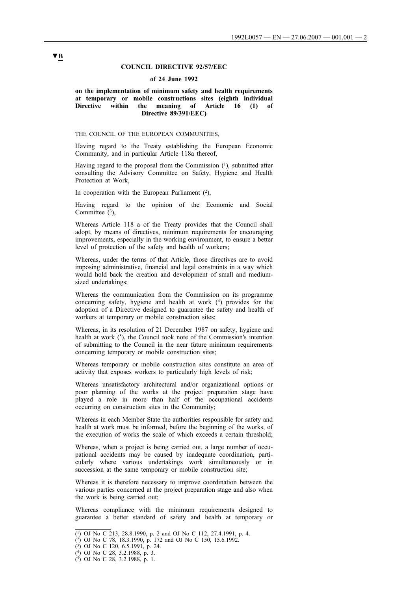### **COUNCIL DIRECTIVE 92/57/EEC**

### **of 24 June 1992**

### **on the implementation of minimum safety and health requirements at temporary or mobile constructions sites (eighth individual Directive within the meaning of Article 16 (1) of Directive 89/391/EEC)**

THE COUNCIL OF THE EUROPEAN COMMUNITIES,

Having regard to the Treaty establishing the European Economic Community, and in particular Article 118a thereof,

Having regard to the proposal from the Commission  $(1)$ , submitted after consulting the Advisory Committee on Safety, Hygiene and Health Protection at Work,

In cooperation with the European Parliament  $(2)$ ,

Having regard to the opinion of the Economic and Social Committee  $(3)$ ,

Whereas Article 118 a of the Treaty provides that the Council shall adopt, by means of directives, minimum requirements for encouraging improvements, especially in the working environment, to ensure a better level of protection of the safety and health of workers;

Whereas, under the terms of that Article, those directives are to avoid imposing administrative, financial and legal constraints in a way which would hold back the creation and development of small and mediumsized undertakings;

Whereas the communication from the Commission on its programme concerning safety, hygiene and health at work (4) provides for the adoption of a Directive designed to guarantee the safety and health of workers at temporary or mobile construction sites;

Whereas, in its resolution of 21 December 1987 on safety, hygiene and health at work  $(5)$ , the Council took note of the Commission's intention of submitting to the Council in the near future minimum requirements concerning temporary or mobile construction sites;

Whereas temporary or mobile construction sites constitute an area of activity that exposes workers to particularly high levels of risk;

Whereas unsatisfactory architectural and/or organizational options or poor planning of the works at the project preparation stage have played a role in more than half of the occupational accidents occurring on construction sites in the Community;

Whereas in each Member State the authorities responsible for safety and health at work must be informed, before the beginning of the works, of the execution of works the scale of which exceeds a certain threshold;

Whereas, when a project is being carried out, a large number of occupational accidents may be caused by inadequate coordination, particularly where various undertakings work simultaneously or in succession at the same temporary or mobile construction site;

Whereas it is therefore necessary to improve coordination between the various parties concerned at the project preparation stage and also when the work is being carried out;

Whereas compliance with the minimum requirements designed to guarantee a better standard of safety and health at temporary or

<sup>(1)</sup> OJ No C 213, 28.8.1990, p. 2 and OJ No C 112, 27.4.1991, p. 4.

<sup>(2)</sup> OJ No C 78, 18.3.1990, p. 172 and OJ No C 150, 15.6.1992.

<sup>(3)</sup> OJ No C 120, 6.5.1991, p. 24.

<sup>(4)</sup> OJ No C 28, 3.2.1988, p. 3.

<sup>(5)</sup> OJ No C 28, 3.2.1988, p. 1.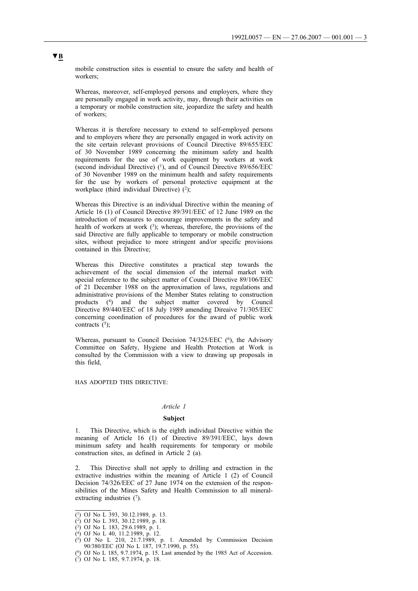mobile construction sites is essential to ensure the safety and health of workers;

Whereas, moreover, self-employed persons and employers, where they are personally engaged in work activity, may, through their activities on a temporary or mobile construction site, jeopardize the safety and health of workers;

Whereas it is therefore necessary to extend to self-employed persons and to employers where they are personally engaged in work activity on the site certain relevant provisions of Council Directive 89/655/EEC of 30 November 1989 concerning the minimum safety and health requirements for the use of work equipment by workers at work (second individual Directive)  $(1)$ , and of Council Directive 89/656/EEC of 30 November 1989 on the minimum health and safety requirements for the use by workers of personal protective equipment at the workplace (third individual Directive)  $(2)$ ;

Whereas this Directive is an individual Directive within the meaning of Article 16 (1) of Council Directive 89/391/EEC of 12 June 1989 on the introduction of measures to encourage improvements in the safety and health of workers at work  $(3)$ ; whereas, therefore, the provisions of the said Directive are fully applicable to temporary or mobile construction sites, without prejudice to more stringent and/or specific provisions contained in this Directive;

Whereas this Directive constitutes a practical step towards the achievement of the social dimension of the internal market with special reference to the subject matter of Council Directive 89/106/EEC of 21 December 1988 on the approximation of laws, regulations and administrative provisions of the Member States relating to construction products (4) and the subject matter covered by Council Directive 89/440/EEC of 18 July 1989 amending Direaive 71/305/EEC concerning coordination of procedures for the award of public work contracts  $(5)$ ;

Whereas, pursuant to Council Decision 74/325/EEC (<sup>6</sup>), the Advisory Committee on Safety, Hygiene and Health Protection at Work is consulted by the Commission with a view to drawing up proposals in this field,

HAS ADOPTED THIS DIRECTIVE:

### *Article 1*

### **Subject**

1. This Directive, which is the eighth individual Directive within the meaning of Article 16 (1) of Directive 89/391/EEC, lays down minimum safety and health requirements for temporary or mobile construction sites, as defined in Article 2 (a).

2. This Directive shall not apply to drilling and extraction in the extractive industries within the meaning of Article 1 (2) of Council Decision 74/326/EEC of 27 June 1974 on the extension of the responsibilities of the Mines Safety and Health Commission to all mineralextracting industries  $(7)$ .

<sup>(1)</sup> OJ No L 393, 30.12.1989, p. 13.

<sup>(2)</sup> OJ No L 393, 30.12.1989, p. 18.

<sup>(3)</sup> OJ No L 183, 29.6.1989, p. 1.

 $(4)$  OJ No L 40, 11.2.1989, p. 12.

 $(5)$  OJ No L 210, 21.7.1989, p. 1. Amended by Commission Decision 90/380/EEC (OJ No L 187, 19.7.1990, p. 55).

<sup>(6)</sup> OJ No L 185, 9.7.1974, p. 15. Last amended by the 1985 Act of Accession.

<sup>(7)</sup> OJ No L 185, 9.7.1974, p. 18.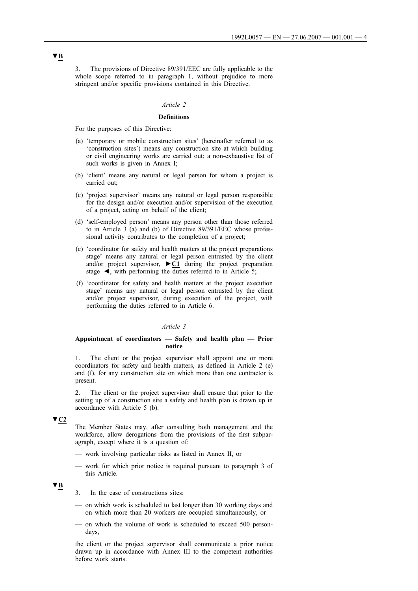3. The provisions of Directive 89/391/EEC are fully applicable to the whole scope referred to in paragraph 1, without prejudice to more stringent and/or specific provisions contained in this Directive.

### *Article 2*

### **Definitions**

For the purposes of this Directive:

- (a) 'temporary or mobile construction sites' (hereinafter referred to as 'construction sites') means any construction site at which building or civil engineering works are carried out; a non-exhaustive list of such works is given in Annex I;
- (b) 'client' means any natural or legal person for whom a project is carried out;
- (c) 'project supervisor' means any natural or legal person responsible for the design and/or execution and/or supervision of the execution of a project, acting on behalf of the client;
- (d) 'self-employed person' means any person other than those referred to in Article 3 (a) and (b) of Directive 89/391/EEC whose professional activity contributes to the completion of a project;
- (e) 'coordinator for safety and health matters at the project preparations stage' means any natural or legal person entrusted by the client and/or project supervisor, **►C1** during the project preparation stage  $\blacktriangleleft$ , with performing the duties referred to in Article 5;
- (f) 'coordinator for safety and health matters at the project execution stage' means any natural or legal person entrusted by the client and/or project supervisor, during execution of the project, with performing the duties referred to in Article 6.

### *Article 3*

### **Appointment of coordinators — Safety and health plan — Prior notice**

1. The client or the project supervisor shall appoint one or more coordinators for safety and health matters, as defined in Article 2 (e) and (f), for any construction site on which more than one contractor is present.

2. The client or the project supervisor shall ensure that prior to the setting up of a construction site a safety and health plan is drawn up in accordance with Article 5 (b).

## **▼C2**

The Member States may, after consulting both management and the workforce, allow derogations from the provisions of the first subparagraph, except where it is a question of:

- work involving particular risks as listed in Annex II, or
- work for which prior notice is required pursuant to paragraph 3 of this Article.

### **▼B**

- 3. In the case of constructions sites:
- on which work is scheduled to last longer than 30 working days and on which more than 20 workers are occupied simultaneously, or
- on which the volume of work is scheduled to exceed 500 persondays,

the client or the project supervisor shall communicate a prior notice drawn up in accordance with Annex III to the competent authorities before work starts.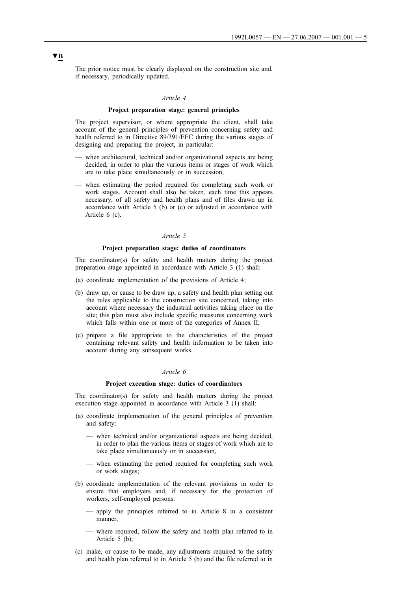The prior notice must be clearly displayed on the construction site and, if necessary, periodically updated.

### *Article 4*

### **Project preparation stage: general principles**

The project supervisor, or where appropriate the client, shall take account of the general principles of prevention concerning safety and health referred to in Directive 89/391/EEC during the various stages of designing and preparing the project, in particular:

- when architectural, technical and/or organizational aspects are being decided, in order to plan the various items or stages of work which are to take place simultaneously or in succession,
- when estimating the period required for completing such work or work stages. Account shall also be taken, each time this appears necessary, of all safety and health plans and of files drawn up in accordance with Article 5 (b) or (c) or adjusted in accordance with Article 6 (c).

### *Article 5*

### **Project preparation stage: duties of coordinators**

The coordinator(s) for safety and health matters during the project preparation stage appointed in accordance with Article 3 (1) shall:

- (a) coordinate implementation of the provisions of Article 4;
- (b) draw up, or cause to be draw up, a safety and health plan setting out the rules applicable to the construction site concerned, taking into account where necessary the industrial activities taking place on the site; this plan must also include specific measures concerning work which falls within one or more of the categories of Annex II;
- (c) prepare a file appropriate to the characteristics of the project containing relevant safety and health information to be taken into account during any subsequent works.

#### *Article 6*

### **Project execution stage: duties of coordinators**

The coordinator(s) for safety and health matters during the project execution stage appointed in accordance with Article 3 (1) shall:

- (a) coordinate implementation of the general principles of prevention and safety:
	- when technical and/or organizational aspects are being decided, in order to plan the various items or stages of work which are to take place simultaneously or in succession,
	- when estimating the period required for completing such work or work stages;
- (b) coordinate implementation of the relevant provisions in order to ensure that employers and, if necessary for the protection of workers, self-employed persons:
	- apply the principles referred to in Article 8 in a consistent manner,
	- where required, follow the safety and health plan referred to in Article 5 (b);
- (c) make, or cause to be made, any adjustments required to the safety and health plan referred to in Article 5 (b) and the file referred to in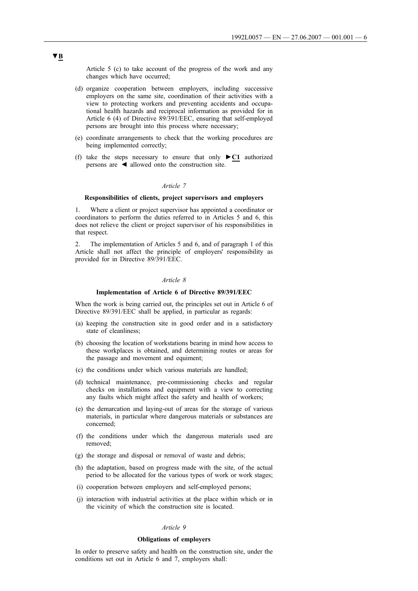Article 5 (c) to take account of the progress of the work and any changes which have occurred;

- (d) organize cooperation between employers, including successive employers on the same site, coordination of their activities with a view to protecting workers and preventing accidents and occupational health hazards and reciprocal information as provided for in Article 6 (4) of Directive 89/391/EEC, ensuring that self-employed persons are brought into this process where necessary;
- (e) coordinate arrangements to check that the working procedures are being implemented correctly;
- (f) take the steps necessary to ensure that only **►C1** authorized persons are ◄ allowed onto the construction site.

#### *Article 7*

### **Responsibilities of clients, project supervisors and employers**

1. Where a client or project supervisor has appointed a coordinator or coordinators to perform the duties referred to in Articles 5 and 6, this does not relieve the client or project supervisor of his responsibilities in that respect.

2. The implementation of Articles 5 and 6, and of paragraph 1 of this Article shall not affect the principle of employers' responsibility as provided for in Directive 89/391/EEC.

### *Article 8*

### **Implementation of Article 6 of Directive 89/391/EEC**

When the work is being carried out, the principles set out in Article 6 of Directive 89/391/EEC shall be applied, in particular as regards:

- (a) keeping the construction site in good order and in a satisfactory state of cleanliness;
- (b) choosing the location of workstations bearing in mind how access to these workplaces is obtained, and determining routes or areas for the passage and movement and equiment;
- (c) the conditions under which various materials are handled;
- (d) technical maintenance, pre-commissioning checks and regular checks on installations and equipment with a view to correcting any faults which might affect the safety and health of workers;
- (e) the demarcation and laying-out of areas for the storage of various materials, in particular where dangerous materials or substances are concerned;
- (f) the conditions under which the dangerous materials used are removed;
- (g) the storage and disposal or removal of waste and debris;
- (h) the adaptation, based on progress made with the site, of the actual period to be allocated for the various types of work or work stages;
- (i) cooperation between employers and self-employed persons;
- (j) interaction with industrial activities at the place within which or in the vicinity of which the construction site is located.

### *Article 9*

#### **Obligations of employers**

In order to preserve safety and health on the construction site, under the conditions set out in Article 6 and 7, employers shall: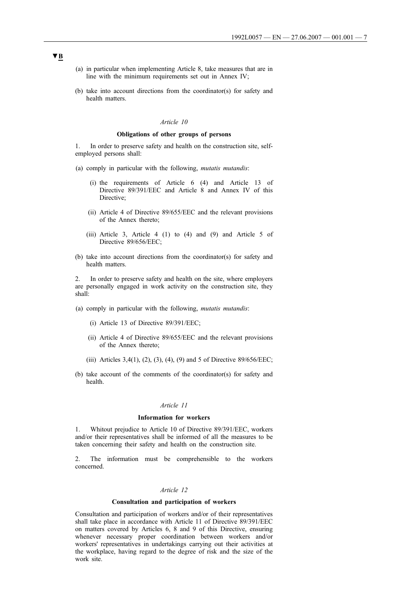- (a) in particular when implementing Article 8, take measures that are in line with the minimum requirements set out in Annex IV;
- (b) take into account directions from the coordinator(s) for safety and health matters.

#### *Article 10*

### **Obligations of other groups of persons**

1. In order to preserve safety and health on the construction site, selfemployed persons shall:

- (a) comply in particular with the following, *mutatis mutandis*:
	- (i) the requirements of Article 6 (4) and Article 13 of Directive 89/391/EEC and Article 8 and Annex IV of this Directive;
	- (ii) Article 4 of Directive 89/655/EEC and the relevant provisions of the Annex thereto;
	- (iii) Article 3, Article 4 (1) to (4) and (9) and Article 5 of Directive 89/656/EEC;
- (b) take into account directions from the coordinator(s) for safety and health matters.

2. In order to preserve safety and health on the site, where employers are personally engaged in work activity on the construction site, they shall:

- (a) comply in particular with the following, *mutatis mutandis*:
	- (i) Article 13 of Directive 89/391/EEC;
	- (ii) Article 4 of Directive 89/655/EEC and the relevant provisions of the Annex thereto;
	- (iii) Articles 3,4(1), (2), (3), (4), (9) and 5 of Directive 89/656/EEC;
- (b) take account of the comments of the coordinator(s) for safety and health.

### *Article 11*

### **Information for workers**

1. Whitout prejudice to Article 10 of Directive 89/391/EEC, workers and/or their representatives shall be informed of all the measures to be taken concerning their safety and health on the construction site.

2. The information must be comprehensible to the workers concerned.

### *Article 12*

### **Consultation and participation of workers**

Consultation and participation of workers and/or of their representatives shall take place in accordance with Article 11 of Directive 89/391/EEC on matters covered by Articles 6, 8 and 9 of this Directive, ensuring whenever necessary proper coordination between workers and/or workers' representatives in undertakings carrying out their activities at the workplace, having regard to the degree of risk and the size of the work site.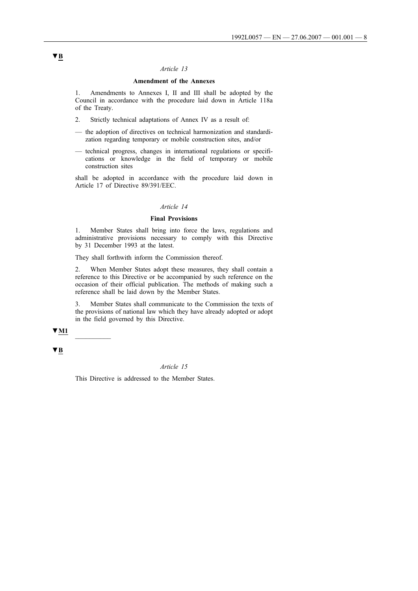### *Article 13*

### **Amendment of the Annexes**

1. Amendments to Annexes I, II and III shall be adopted by the Council in accordance with the procedure laid down in Article 118a of the Treaty.

- 2. Strictly technical adaptations of Annex IV as a result of:
- the adoption of directives on technical harmonization and standardization regarding temporary or mobile construction sites, and/or
- technical progress, changes in international regulations or specifications or knowledge in the field of temporary or mobile construction sites

shall be adopted in accordance with the procedure laid down in Article 17 of Directive 89/391/EEC.

### *Article 14*

### **Final Provisions**

1. Member States shall bring into force the laws, regulations and administrative provisions necessary to comply with this Directive by 31 December 1993 at the latest.

They shall forthwith inform the Commission thereof.

2. When Member States adopt these measures, they shall contain a reference to this Directive or be accompanied by such reference on the occasion of their official publication. The methods of making such a reference shall be laid down by the Member States.

3. Member States shall communicate to the Commission the texts of the provisions of national law which they have already adopted or adopt in the field governed by this Directive.

### **▼M1** \_\_\_\_\_\_\_\_\_\_

**▼B**

### *Article 15*

This Directive is addressed to the Member States.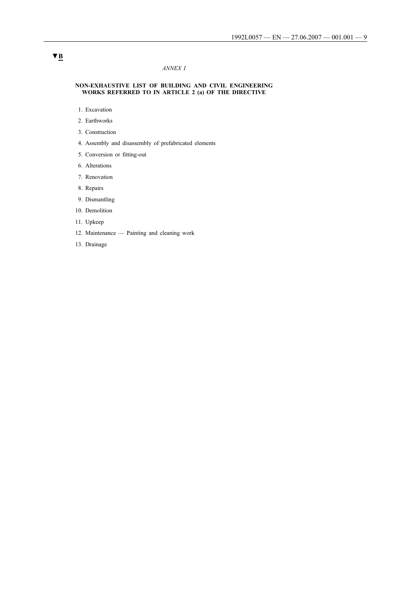### *ANNEX I*

#### **NON-EXHAUSTIVE LIST OF BUILDING AND CIVIL ENGINEERING WORKS REFERRED TO IN ARTICLE 2 (a) OF THE DIRECTIVE**

- 1. Excavation
- 2. Earthworks
- 3. Construction
- 4. Assembly and disassembly of prefabricated elements
- 5. Conversion or fitting-out
- 6. Alterations
- 7. Renovation
- 8. Repairs
- 9. Dismantling
- 10. Demolition
- 11. Upkeep
- 12. Maintenance Painting and cleaning work
- 13. Drainage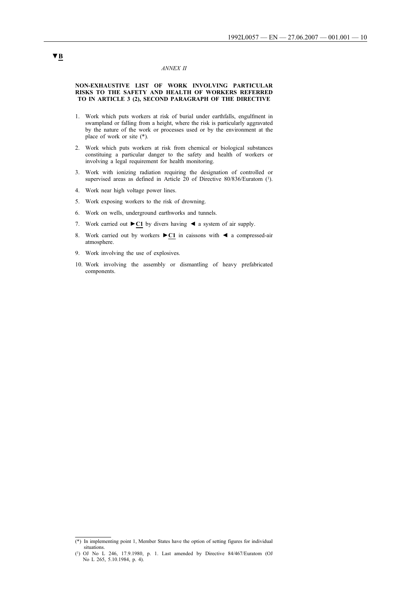### *ANNEX II*

### **NON-EXHAUSTIVE LIST OF WORK INVOLVING PARTICULAR RISKS TO THE SAFETY AND HEALTH OF WORKERS REFERRED TO IN ARTICLE 3 (2), SECOND PARAGRAPH OF THE DIRECTIVE**

- 1. Work which puts workers at risk of burial under earthfalls, engulfment in swampland or falling from a height, where the risk is particularly aggravated by the nature of the work or processes used or by the environment at the place of work or site (\*).
- 2. Work which puts workers at risk from chemical or biological substances constituing a particular danger to the safety and health of workers or involving a legal requirement for health monitoring.
- 3. Work with ionizing radiation requiring the designation of controlled or supervised areas as defined in Article 20 of Directive 80/836/Euratom (1).
- 4. Work near high voltage power lines.
- 5. Work exposing workers to the risk of drowning.
- 6. Work on wells, underground earthworks and tunnels.
- 7. Work carried out **►C1** by divers having ◄ a system of air supply.
- 8. Work carried out by workers **►C1** in caissons with ◄ a compressed-air atmosphere.
- 9. Work involving the use of explosives.
- 10. Work involving the assembly or dismantling of heavy prefabricated components.

<sup>(\*)</sup> In implementing point 1, Member States have the option of setting figures for individual situations.

<sup>(1)</sup> OJ No L 246, 17.9.1980, p. 1. Last amended by Directive 84/467/Euratom (OJ No L 265, 5.10.1984, p. 4).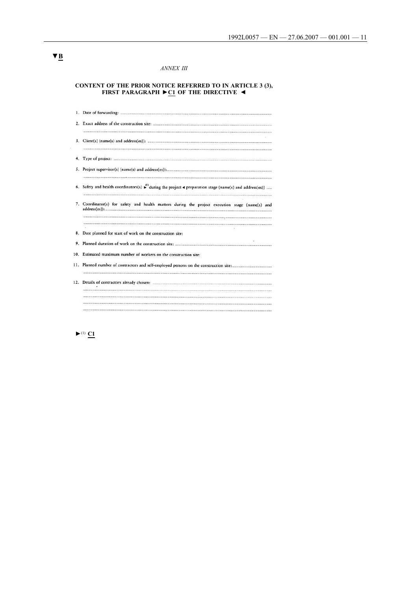### *ANNEX III*

#### **CONTENT OF THE PRIOR NOTICE REFERRED TO IN ARTICLE 3 (3), FIRST PARAGRAPH ►C1 OF THE DIRECTIVE ◄**

| 3.  |                                                                                                                                                      |
|-----|------------------------------------------------------------------------------------------------------------------------------------------------------|
|     |                                                                                                                                                      |
|     |                                                                                                                                                      |
|     | 6. Safety and health coordinators(s) $\stackrel{(i)}{\longleftarrow}$ during the project $\triangleleft$ preparation stage (name(s) and address(es)) |
|     | 7. Coordinator(s) for safety and health matters during the project execution stage (name(s) and                                                      |
|     |                                                                                                                                                      |
|     | 8. Date planned for start of work on the construction site:                                                                                          |
| 9.  |                                                                                                                                                      |
| 10. | Estimated maximum number of workers on the construction site:                                                                                        |
|     |                                                                                                                                                      |
|     |                                                                                                                                                      |
|     |                                                                                                                                                      |
|     |                                                                                                                                                      |

 $\blacktriangleright$ <sup>(1)</sup>  $\Omega$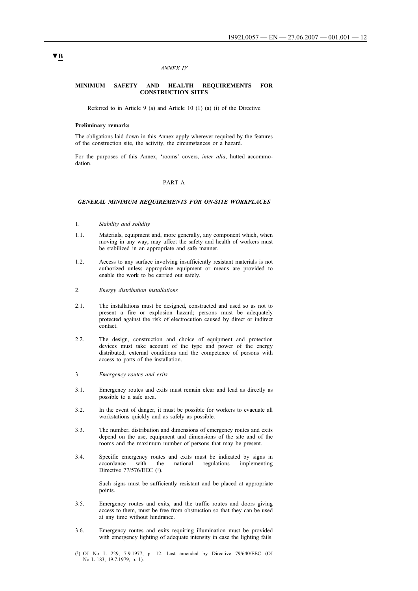#### *ANNEX IV*

#### **MINIMUM SAFETY AND HEALTH REQUIREMENTS FOR CONSTRUCTION SITES**

Referred to in Article 9 (a) and Article 10 (1) (a) (i) of the Directive

#### **Preliminary remarks**

The obligations laid down in this Annex apply wherever required by the features of the construction site, the activity, the circumstances or a hazard.

For the purposes of this Annex, 'rooms' covers, *inter alia*, hutted accommodation.

#### PART A

#### *GENERAL MINIMUM REQUIREMENTS FOR ON-SITE WORKPLACES*

- 1. *Stability and solidity*
- 1.1. Materials, equipment and, more generally, any component which, when moving in any way, may affect the safety and health of workers must be stabilized in an appropriate and safe manner.
- 1.2. Access to any surface involving insufficiently resistant materials is not authorized unless appropriate equipment or means are provided to enable the work to be carried out safely.
- 2. *Energy distribution installations*
- 2.1. The installations must be designed, constructed and used so as not to present a fire or explosion hazard; persons must be adequately protected against the risk of electrocution caused by direct or indirect contact.
- 2.2. The design, construction and choice of equipment and protection devices must take account of the type and power of the energy distributed, external conditions and the competence of persons with access to parts of the installation.
- 3. *Emergency routes and exits*
- 3.1. Emergency routes and exits must remain clear and lead as directly as possible to a safe area.
- 3.2. In the event of danger, it must be possible for workers to evacuate all workstations quickly and as safely as possible.
- 3.3. The number, distribution and dimensions of emergency routes and exits depend on the use, equipment and dimensions of the site and of the rooms and the maximum number of persons that may be present.
- 3.4. Specific emergency routes and exits must be indicated by signs in accordance with the national regulations implementing Directive 77/576/EEC (<sup>1</sup>).

Such signs must be sufficiently resistant and be placed at appropriate points.

- 3.5. Emergency routes and exits, and the traffic routes and doors giving access to them, must be free from obstruction so that they can be used at any time without hindrance.
- 3.6. Emergency routes and exits requiring illumination must be provided with emergency lighting of adequate intensity in case the lighting fails.

<sup>(1)</sup> OJ No L 229, 7.9.1977, p. 12. Last amended by Directive 79/640/EEC (OJ No L 183, 19.7.1979, p. 1).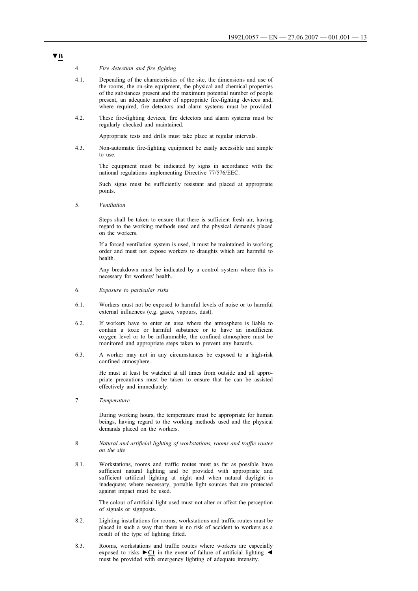### 4. *Fire detection and fire fighting*

- 4.1. Depending of the characteristics of the site, the dimensions and use of the rooms, the on-site equipment, the physical and chemical properties of the substances present and the maximum potential number of people present, an adequate number of appropriate fire-fighting devices and, where required, fire detectors and alarm systems must be provided.
- 4.2. These fire-fighting devices, fire detectors and alarm systems must be regularly checked and maintained.

Appropriate tests and drills must take place at regular intervals.

4.3. Non-automatic fire-fighting equipment be easily accessible and simple to use.

> The equipment must be indicated by signs in accordance with the national regulations implementing Directive 77/576/EEC.

> Such signs must be sufficiently resistant and placed at appropriate points.

5. *Ventilation*

Steps shall be taken to ensure that there is sufficient fresh air, having regard to the working methods used and the physical demands placed on the workers.

If a forced ventilation system is used, it must be maintained in working order and must not expose workers to draughts which are harmful to health.

Any breakdown must be indicated by a control system where this is necessary for workers' health.

- 6. *Exposure to particular risks*
- 6.1. Workers must not be exposed to harmful levels of noise or to harmful external influences (e.g. gases, vapours, dust).
- 6.2. If workers have to enter an area where the atmosphere is liable to contain a toxic or harmful substance or to have an insufficient oxygen level or to be inflammable, the confined atmosphere must be monitored and appropriate steps taken to prevent any hazards.
- 6.3. A worker may not in any circumstances be exposed to a high-risk confined atmosphere.

He must at least be watched at all times from outside and all appropriate precautions must be taken to ensure that he can be assisted effectively and immediately.

7. *Temperature*

During working hours, the temperature must be appropriate for human beings, having regard to the working methods used and the physical demands placed on the workers.

- 8. *Natural and artificial lighting of workstations, rooms and traffic routes on the site*
- 8.1. Workstations, rooms and traffic routes must as far as possible have sufficient natural lighting and be provided with appropriate and sufficient artificial lighting at night and when natural daylight is inadequate; where necessary, portable light sources that are protected against impact must be used.

The colour of artificial light used must not alter or affect the perception of signals or signposts.

- 8.2. Lighting installations for rooms, workstations and traffic routes must be placed in such a way that there is no risk of accident to workers as a result of the type of lighting fitted.
- 8.3. Rooms, workstations and traffic routes where workers are especially exposed to risks  $\blacktriangleright$  **C1** in the event of failure of artificial lighting  $\blacktriangleleft$ must be provided with emergency lighting of adequate intensity.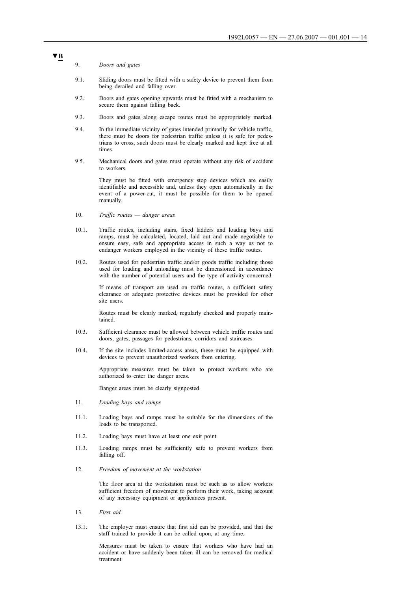### 9. *Doors and gates*

- 9.1. Sliding doors must be fitted with a safety device to prevent them from being derailed and falling over.
- 9.2. Doors and gates opening upwards must be fitted with a mechanism to secure them against falling back.
- 9.3. Doors and gates along escape routes must be appropriately marked.
- 9.4. In the immediate vicinity of gates intended primarily for vehicle traffic, there must be doors for pedestrian traffic unless it is safe for pedestrians to cross; such doors must be clearly marked and kept free at all times.
- 9.5. Mechanical doors and gates must operate without any risk of accident to workers.

They must be fitted with emergency stop devices which are easily identifiable and accessible and, unless they open automatically in the event of a power-cut, it must be possible for them to be opened manually.

- 10. *Traffic routes — danger areas*
- 10.1. Traffic routes, including stairs, fixed ladders and loading bays and ramps, must be calculated, located, laid out and made negotiable to ensure easy, safe and appropriate access in such a way as not to endanger workers employed in the vicinity of these traffic routes.
- 10.2. Routes used for pedestrian traffic and/or goods traffic including those used for loading and unloading must be dimensioned in accordance with the number of potential users and the type of activity concerned.

If means of transport are used on traffic routes, a sufficient safety clearance or adequate protective devices must be provided for other site users.

Routes must be clearly marked, regularly checked and properly maintained.

- 10.3. Sufficient clearance must be allowed between vehicle traffic routes and doors, gates, passages for pedestrians, corridors and staircases.
- 10.4. If the site includes limited-access areas, these must be equipped with devices to prevent unauthorized workers from entering.

Appropriate measures must be taken to protect workers who are authorized to enter the danger areas.

Danger areas must be clearly signposted.

- 11. *Loading bays and ramps*
- 11.1. Loading bays and ramps must be suitable for the dimensions of the loads to be transported.
- 11.2. Loading bays must have at least one exit point.
- 11.3. Loading ramps must be sufficiently safe to prevent workers from falling off.
- 12. *Freedom of movement at the workstation*

The floor area at the workstation must be such as to allow workers sufficient freedom of movement to perform their work, taking account of any necessary equipment or applicances present.

- 13. *First aid*
- 13.1. The employer must ensure that first aid can be provided, and that the staff trained to provide it can be called upon, at any time.

Measures must be taken to ensure that workers who have had an accident or have suddenly been taken ill can be removed for medical treatment.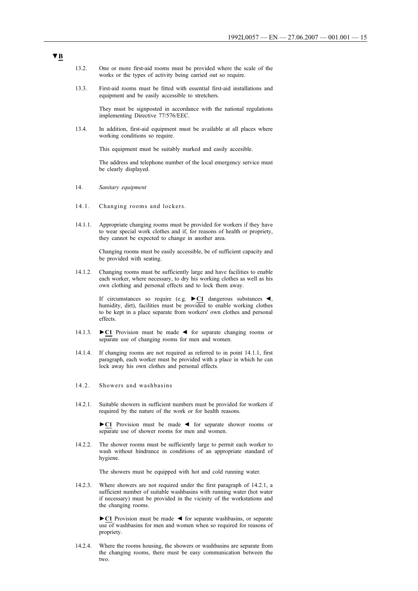- 13.2. One or more first-aid rooms must be provided where the scale of the works or the types of activity being carried out so require.
- 13.3. First-aid rooms must be fitted with essential first-aid installations and equipment and be easily accessible to stretchers.

They must be signposted in accordance with the national regulations implementing Directive 77/576/EEC.

13.4. In addition, first-aid equipment must be available at all places where working conditions so require.

This equipment must be suitably marked and easily accesible.

The address and telephone number of the local emergency service must be clearly displayed.

- 14. *Sanitary equipment*
- 14.1. Changing rooms and lockers.
- 14.1.1. Appropriate changing rooms must be provided for workers if they have to wear special work clothes and if, for reasons of health or propriety, they cannot be expected to change in another area.

Changing rooms must be easily accessible, be of sufficient capacity and be provided with seating.

14.1.2. Changing rooms must be sufficiently large and have facilities to enable each worker, where necessary, to dry his working clothes as well as his own clothing and personal effects and to lock them away.

> If circumstances so require (e.g. **►C1** dangerous substances ◄, humidity, dirt), facilities must be provided to enable working clothes to be kept in a place separate from workers' own clothes and personal effects.

- 14.1.3. **►C1** Provision must be made ◄ for separate changing rooms or separate use of changing rooms for men and women.
- 14.1.4. If changing rooms are not required as referred to in point 14.1.1, first paragraph, each worker must be provided with a place in which he can lock away his own clothes and personal effects.
- 14.2. Showers and washbasins
- 14.2.1. Suitable showers in sufficient numbers must be provided for workers if required by the nature of the work or for health reasons.

**►C1** Provision must be made ◄ for separate shower rooms or separate use of shower rooms for men and women.

14.2.2. The shower rooms must be sufficiently large to permit each worker to wash without hindrance in conditions of an appropriate standard of hygiene.

The showers must be equipped with hot and cold running water.

14.2.3. Where showers are not required under the first paragraph of 14.2.1, a sufficient number of suitable washbasins with running water (hot water if necessary) must be provided in the vicinity of the workstations and the changing rooms.

> **►C1** Provision must be made ◄ for separate washbasins, or separate use of washbasins for men and women when so required for reasons of propriety.

14.2.4. Where the rooms housing, the showers or washbasins are separate from the changing rooms, there must be easy communication between the two.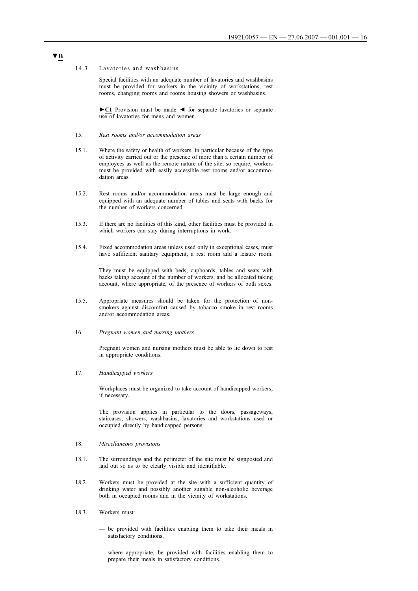#### 14.3. Lavatories and washbasins

Special facilities with an adequate number of lavatories and washbasins must be provided for workers in the vicinity of workstations, rest rooms, changing rooms and rooms housing showers or washbasins.

**►C1** Provision must be made ◄ for separate lavatories or separate use of lavatories for mens and women.

- 15. *Rest rooms and/or accommodation areas*
- 15.1. Where the safety or health of workers, in particular because of the type of activity carried out or the presence of more than a certain number of employees as well as the remote nature of the site, so require, workers must be provided with easily accessible rest rooms and/or accommodation areas.
- 15.2. Rest rooms and/or accommodation areas must be large enough and equipped with an adequate number of tables and seats with backs for the number of workers concerned.
- 15.3. If there are no facilities of this kind, other facilities must be provided in which workers can stay during interruptions in work.
- 15.4. Fixed accommodation areas unless used only in exceptional cases, must have sufificient sanitary equipment, a rest room and a leisure room.

They must be equipped with beds, cupboards, tables and seats with backs taking account of the number of workers, and be allocated taking account, where appropriate, of the presence of workers of both sexes.

- 15.5. Appropriate measures should be taken for the protection of nonsmokers against discomfort caused by tobacco smoke in rest rooms and/or accommodation areas.
- 16. *Pregnant women and nursing mothers*

Pregnant women and nursing mothers must be able to lie down to rest in appropriate conditions.

17. *Handicapped workers*

Workplaces must be organized to take account of handicapped workers, if necessary.

The provision applies in particular to the doors, passageways, staircases, showers, washbasins, lavatories and workstations used or occupied directly by handicapped persons.

### 18. *Miscellaneous provisions*

- 18.1. The surroundings and the perimeter of the site must be signposted and laid out so as to be clearly visible and identifiable.
- 18.2. Workers must be provided at the site with a sufficient quantity of drinking water and possibly another suitable non-alcoholic beverage both in occupied rooms and in the vicinity of workstations.
- 18.3. Workers must:
	- be provided with facilities enabling them to take their meals in satisfactory conditions,
	- where appropriate, be provided with facilities enabling them to prepare their meals in satisfactory conditions.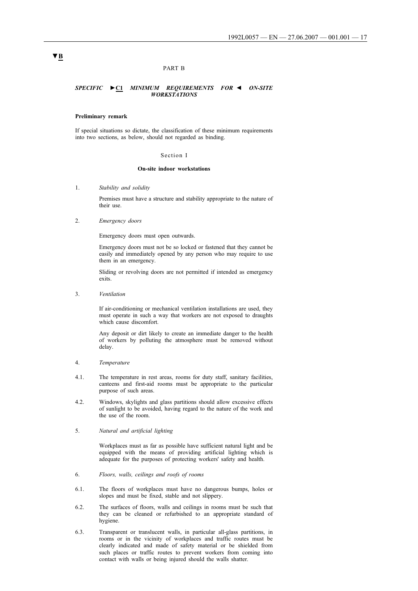### PART B

### *SPECIFIC* **►C1** *MINIMUM REQUIREMENTS FOR ◄ ON-SITE WORKSTATIONS*

#### **Preliminary remark**

If special situations so dictate, the classification of these minimum requirements into two sections, as below, should not regarded as binding.

#### Section I

### **On-site indoor workstations**

1. *Stability and solidity*

Premises must have a structure and stability appropriate to the nature of their use.

2. *Emergency doors*

Emergency doors must open outwards.

Emergency doors must not be so locked or fastened that they cannot be easily and immediately opened by any person who may require to use them in an emergency.

Sliding or revolving doors are not permitted if intended as emergency exits.

3. *Ventilation*

If air-conditioning or mechanical ventilation installations are used, they must operate in such a way that workers are not exposed to draughts which cause discomfort.

Any deposit or dirt likely to create an immediate danger to the health of workers by polluting the atmosphere must be removed without delay.

#### 4. *Temperature*

- 4.1. The temperature in rest areas, rooms for duty staff, sanitary facilities, canteens and first-aid rooms must be appropriate to the particular purpose of such areas.
- 4.2. Windows, skylights and glass partitions should allow excessive effects of sunlight to be avoided, having regard to the nature of the work and the use of the room.
- 5. *Natural and artificial lighting*

Workplaces must as far as possible have sufficient natural light and be equipped with the means of providing artificial lighting which is adequate for the purposes of protecting workers' safety and health.

- 6. *Floors, walls, ceilings and roofs of rooms*
- 6.1. The floors of workplaces must have no dangerous bumps, holes or slopes and must be fixed, stable and not slippery.
- 6.2. The surfaces of floors, walls and ceilings in rooms must be such that they can be cleaned or refurbished to an appropriate standard of hygiene.
- 6.3. Transparent or translucent walls, in particular all-glass partitions, in rooms or in the vicinity of workplaces and traffic routes must be clearly indicated and made of safety material or be shielded from such places or traffic routes to prevent workers from coming into contact with walls or being injured should the walls shatter.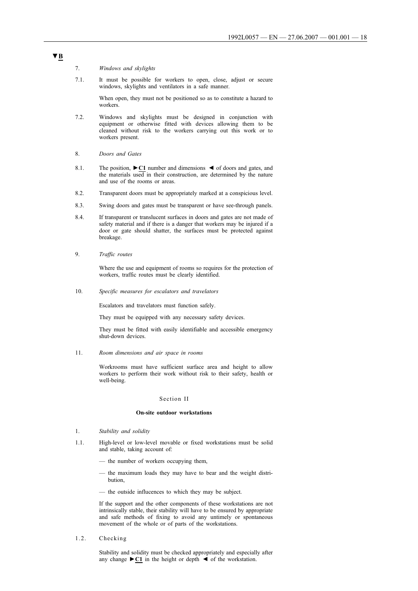### 7. *Windows and skylights*

7.1. It must be possible for workers to open, close, adjust or secure windows, skylights and ventilators in a safe manner.

> When open, they must not be positioned so as to constitute a hazard to workers.

- 7.2. Windows and skylights must be designed in conjunction with equipment or otherwise fitted with devices allowing them to be cleaned without risk to the workers carrying out this work or to workers present.
- 8. *Doors and Gates*
- 8.1. The position, **►C1** number and dimensions ◄ of doors and gates, and the materials used in their construction, are determined by the nature and use of the rooms or areas.
- 8.2. Transparent doors must be appropriately marked at a conspicious level.
- 8.3. Swing doors and gates must be transparent or have see-through panels.
- 8.4. If transparent or translucent surfaces in doors and gates are not made of safety material and if there is a danger that workers may be injured if a door or gate should shatter, the surfaces must be protected against breakage.
- 9. *Traffic routes*

Where the use and equipment of rooms so requires for the protection of workers, traffic routes must be clearly identified.

10. *Specific measures for escalators and travelators*

Escalators and travelators must function safely.

They must be equipped with any necessary safety devices.

They must be fitted with easily identifiable and accessible emergency shut-down devices.

11. *Room dimensions and air space in rooms*

Workrooms must have sufficient surface area and height to allow workers to perform their work without risk to their safety, health or well-being.

#### Section II

### **On-site outdoor workstations**

- 1. *Stability and solidity*
- 1.1. High-level or low-level movable or fixed workstations must be solid and stable, taking account of:
	- the number of workers occupying them,
	- the maximum loads they may have to bear and the weight distribution,
	- the outside influcences to which they may be subject.

If the support and the other components of these workstations are not intrinsically stable, their stability will have to be ensured by appropriate and safe methods of fixing to avoid any untimely or spontaneous movement of the whole or of parts of the workstations.

1.2. Checking

Stability and solidity must be checked appropriately and especially after any change  $\blacktriangleright$  **C1** in the height or depth  $\blacktriangleleft$  of the workstation.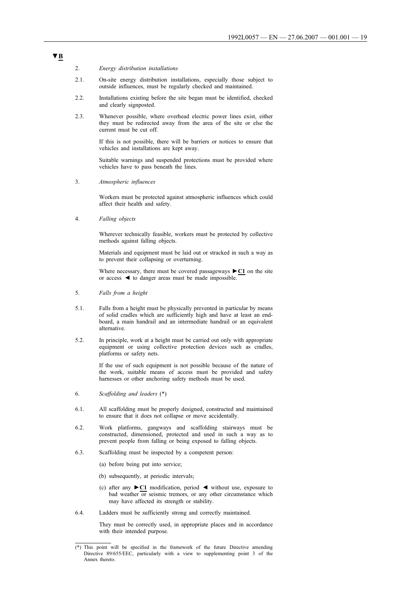### 2. *Energy distribution installations*

- 2.1. On-site energy distribution installations, especially those subject to outside influences, must be regularly checked and maintained.
- 2.2. Installations existing before the site began must be identified, checked and clearly signposted.
- 2.3. Whenever possible, where overhead electric power lines exist, either they must be redirected away from the area of the site or else the current must be cut off.

If this is not possible, there will be barriers or notices to ensure that vehicles and installations are kept away.

Suitable warnings and suspended protections must be provided where vehicles have to pass beneath the lines.

3. *Atmospheric influences*

Workers must be protected against atmospheric influences which could affect their health and safety.

4. *Falling objects*

Wherever technically feasible, workers must be protected by collective methods against falling objects.

Materials and equipment must be laid out or stracked in such a way as to prevent their collapsing or overturning.

Where necessary, there must be covered passageways **►C1** on the site or access ◄ to danger areas must be made impossible.

- 5. *Falls from a height*
- 5.1. Falls from a height must be physically prevented in particular by means of solid cradles which are sufficiently high and have at least an endboard, a main handrail and an intermediate handrail or an equivalent alternative.
- 5.2. In principle, work at a height must be carried out only with appropriate equipment or using collective protection devices such as cradles, platforms or safety nets.

If the use of such equipment is not possible because of the nature of the work, suitable means of access must be provided and safety harnesses or other anchoring safety methods must be used.

- 6. *Scaffolding and leaders* (\*)
- 6.1. All scaffolding must be properly designed, constructed and maintained to ensure that it does not collapse or move accidentally.
- 6.2. Work platforms, gangways and scaffolding stairways must be constructed, dimensioned, protected and used in such a way as to prevent people from falling or being exposed to falling objects.
- 6.3. Scaffolding must be inspected by a competent person:
	- (a) before being put into service;
	- (b) subsequently, at periodic intervals;
	- (c) after any **►C1** modification, period ◄ without use, exposure to bad weather  $\overline{or}$  seismic tremors, or any other circumstance which may have affected its strength or stability.
- 6.4. Ladders must be sufficiently strong and correctly maintained.

They must be correctly used, in appropriate places and in accordance with their intended purpose.

<sup>(\*)</sup> This point will be specified in the framework of the future Directive amending Directive 89/655/EEC, particularly with a view to supplementing point 3 of the Annex thereto.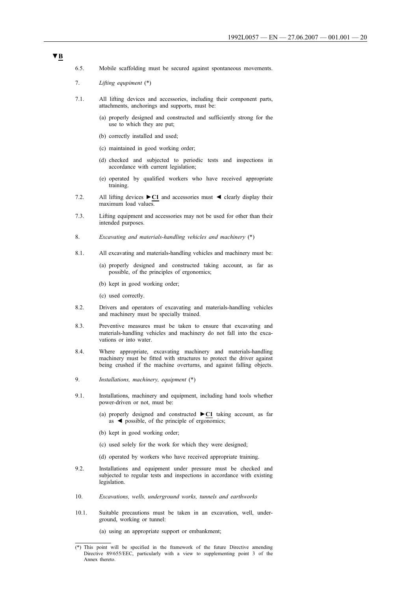- 6.5. Mobile scaffolding must be secured against spontaneous movements.
- 7. *Lifting equpiment* (\*)
- 7.1. All lifting devices and accessories, including their component parts, attachments, anchorings and supports, must be:
	- (a) properly designed and constructed and sufficiently strong for the use to which they are put;
	- (b) correctly installed and used;
	- (c) maintained in good working order;
	- (d) checked and subjected to periodic tests and inspections in accordance with current legislation;
	- (e) operated by qualified workers who have received appropriate training.
- 7.2. All lifting devices **►C1** and accessories must ◄ clearly display their maximum load values.
- 7.3. Lifting equipment and accessories may not be used for other than their intended purposes.
- 8. *Excavating and materials-handling vehicles and machinery* (\*)
- 8.1. All excavating and materials-handling vehicles and machinery must be:
	- (a) properly designed and constructed taking account, as far as possible, of the principles of ergonomics;
	- (b) kept in good working order;
	- (c) used correctly.
- 8.2. Drivers and operators of excavating and materials-handling vehicles and machinery must be specially trained.
- 8.3. Preventive measures must be taken to ensure that excavating and materials-handling vehicles and machinery do not fall into the excavations or into water.
- 8.4. Where appropriate, excavating machinery and materials-handling machinery must be fitted with structures to protect the driver against being crushed if the machine overturns, and against falling objects.
- 9. *Installations, machinery, equipment* (\*)
- 9.1. Installations, machinery and equipment, including hand tools whether power-driven or not, must be:
	- (a) properly designed and constructed **►C1** taking account, as far as ◄ possible, of the principle of ergonomics;
	- (b) kept in good working order;
	- (c) used solely for the work for which they were designed;
	- (d) operated by workers who have received appropriate training.
- 9.2. Installations and equipment under pressure must be checked and subjected to regular tests and inspections in accordance with existing legislation.
- 10. *Excavations, wells, underground works, tunnels and earthworks*
- 10.1. Suitable precautions must be taken in an excavation, well, underground, working or tunnel:

(a) using an appropriate support or embankment;

<sup>(\*)</sup> This point will be specified in the framework of the future Directive amending Directive 89/655/EEC, particularly with a view to supplementing point 3 of the Annex thereto.